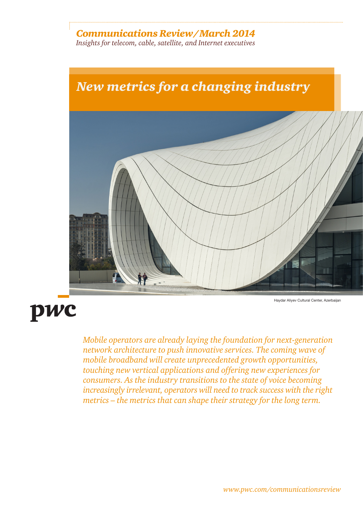# *Communications Review/March 2014*

*Insights for telecom, cable, satellite, and Internet executives* 



# pwc

Haydar Aliyev Cultural Center, Azerbaijan

*Mobile operators are already laying the foundation for next-generation network architecture to push innovative services. The coming wave of mobile broadband will create unprecedented growth opportunities, touching new vertical applications and offering new experiences for consumers. As the industry transitions to the state of voice becoming increasingly irrelevant, operators will need to track success with the right metrics – the metrics that can shape their strategy for the long term.*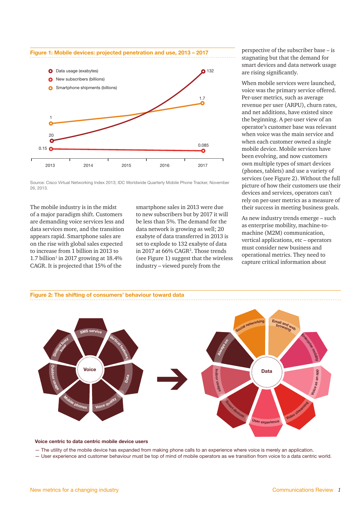

Source: Cisco Virtual Networking Index 2013; IDC Worldwide Quarterly Mobile Phone Tracker, November 26, 2013.

The mobile industry is in the midst of a major paradigm shift. Customers are demanding voice services less and data services more, and the transition appears rapid. Smartphone sales are on the rise with global sales expected to increase from 1 billion in 2013 to  $1.7$  billion<sup>1</sup> in 2017 growing at 18.4% CAGR. It is projected that 15% of the

smartphone sales in 2013 were due to new subscribers but by 2017 it will be less than 5%. The demand for the data network is growing as well; 20 exabyte of data transferred in 2013 is set to explode to 132 exabyte of data in 2017 at 66% CAGR<sup>2</sup>. Those trends (see Figure 1) suggest that the wireless industry – viewed purely from the

perspective of the subscriber base – is stagnating but that the demand for smart devices and data network usage are rising significantly.

When mobile services were launched, voice was the primary service offered. Per-user metrics, such as average revenue per user (ARPU), churn rates, and net additions, have existed since the beginning. A per-user view of an operator's customer base was relevant when voice was the main service and when each customer owned a single mobile device. Mobile services have been evolving, and now customers own multiple types of smart devices (phones, tablets) and use a variety of services (see Figure 2). Without the full picture of how their customers use their devices and services, operators can't rely on per-user metrics as a measure of their success in meeting business goals.

As new industry trends emerge – such as enterprise mobility, machine-tomachine (M2M) communication, vertical applications, etc – operators must consider new business and operational metrics. They need to capture critical information about



#### **Voice centric to data centric mobile device users**

— The utility of the mobile device has expanded from making phone calls to an experience where voice is merely an application.

— User experience and customer behaviour must be top of mind of mobile operators as we transition from voice to a data centric world.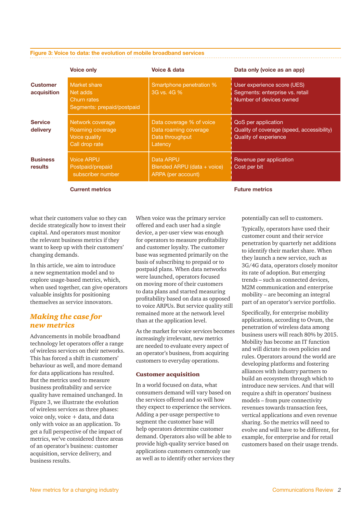|                                | <b>Voice only</b>                                                       | Voice & data                                                                    | Data only (voice as an app)                                                                       |  |
|--------------------------------|-------------------------------------------------------------------------|---------------------------------------------------------------------------------|---------------------------------------------------------------------------------------------------|--|
| <b>Customer</b><br>acquisition | Market share<br>Net adds<br>Churn rates<br>Segments: prepaid/postpaid   | Smartphone penetration %<br>3G vs. 4G %                                         | User experience score (UES)<br>Segments: enterprise vs. retail<br>Number of devices owned         |  |
| <b>Service</b><br>delivery     | Network coverage<br>Roaming coverage<br>Voice quality<br>Call drop rate | Data coverage % of voice<br>Data roaming coverage<br>Data throughput<br>Latency | QoS per application<br>Quality of coverage (speed, accessibility)<br><b>Quality of experience</b> |  |
| <b>Business</b><br>results     | <b>Voice ARPU</b><br>Postpaid/prepaid<br>subscriber number              | Data ARPU<br>Blended ARPU (data + voice)<br>ARPA (per account)                  | Revenue per application<br>Cost per bit                                                           |  |

**Current metrics Future metrics Future metrics** 

what their customers value so they can decide strategically how to invest their capital. And operators must monitor the relevant business metrics if they want to keep up with their customers' changing demands.

In this article, we aim to introduce a new segmentation model and to explore usage-based metrics, which, when used together, can give operators valuable insights for positioning themselves as service innovators.

## *Making the case for new metrics*

Advancements in mobile broadband technology let operators offer a range of wireless services on their networks. This has forced a shift in customers' behaviour as well, and more demand for data applications has resulted. But the metrics used to measure business profitability and service quality have remained unchanged. In Figure 3, we illustrate the evolution of wireless services as three phases: voice only, voice + data, and data only with voice as an application. To get a full perspective of the impact of metrics, we've considered three areas of an operator's business: customer acquisition, service delivery, and business results.

When voice was the primary service offered and each user had a single device, a per-user view was enough for operators to measure profitability and customer loyalty. The customer base was segmented primarily on the basis of subscribing to prepaid or to postpaid plans. When data networks were launched, operators focused on moving more of their customers to data plans and started measuring profitability based on data as opposed to voice ARPUs. But service quality still remained more at the network level than at the application level.

As the market for voice services becomes increasingly irrelevant, new metrics are needed to evaluate every aspect of an operator's business, from acquiring customers to everyday operations.

#### Customer acquisition

In a world focused on data, what consumers demand will vary based on the services offered and so will how they expect to experience the services. Adding a per-usage perspective to segment the customer base will help operators determine customer demand. Operators also will be able to provide high-quality service based on applications customers commonly use as well as to identify other services they potentially can sell to customers.

Typically, operators have used their customer count and their service penetration by quarterly net additions to identify their market share. When they launch a new service, such as 3G/4G data, operators closely monitor its rate of adoption. But emerging trends – such as connected devices, M2M communication and enterprise mobility – are becoming an integral part of an operator's service portfolio.

Specifically, for enterprise mobility applications, according to Ovum, the penetration of wireless data among business users will reach 80% by 2015. Mobility has become an IT function and will dictate its own policies and rules. Operators around the world are developing platforms and fostering alliances with industry partners to build an ecosystem through which to introduce new services. And that will require a shift in operators' business models – from pure connectivity revenues towards transaction fees, vertical applications and even revenue sharing. So the metrics will need to evolve and will have to be different, for example, for enterprise and for retail customers based on their usage trends.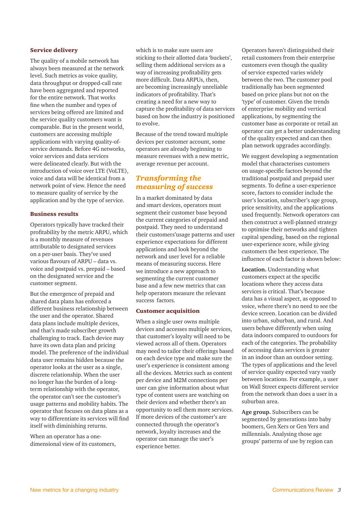#### Service delivery

The quality of a mobile network has always been measured at the network level. Such metrics as voice quality, data throughput or dropped-call rate have been aggregated and reported for the entire network. That works fine when the number and types of services being offered are limited and the service quality customers want is comparable. But in the present world, customers are accessing multiple applications with varying quality-ofservice demands. Before 4G networks, voice services and data services were delineated clearly. But with the introduction of voice over LTE (VoLTE), voice and data will be identical from a network point of view. Hence the need to measure quality of service by the application and by the type of service.

#### Business results

Operators typically have tracked their profitability by the metric ARPU, which is a monthly measure of revenues attributable to designated services on a per-user basis. They've used various flavours of ARPU – data vs. voice and postpaid vs. prepaid – based on the designated service and the customer segment.

But the emergence of prepaid and shared data plans has enforced a different business relationship between the user and the operator. Shared data plans include multiple devices, and that's made subscriber growth challenging to track. Each device may have its own data plan and pricing model. The preference of the individual data user remains hidden because the operator looks at the user as a single, discrete relationship. When the user no longer has the burden of a longterm relationship with the operator, the operator can't see the customer's usage patterns and mobility habits. The operator that focuses on data plans as a way to differentiate its services will find itself with diminishing returns.

When an operator has a onedimensional view of its customers, which is to make sure users are sticking to their allotted data 'buckets', selling them additional services as a way of increasing profitability gets more difficult. Data ARPUs, then, are becoming increasingly unreliable indicators of profitability. That's creating a need for a new way to capture the profitability of data services based on how the industry is positioned to evolve.

Because of the trend toward multiple devices per customer account, some operators are already beginning to measure revenues with a new metric, average revenue per account.

## *Transforming the measuring of success*

In a market dominated by data and smart devices, operators must segment their customer base beyond the current categories of prepaid and postpaid. They need to understand their customers'usage patterns and user experience expectations for different applications and look beyond the network and user level for a reliable means of measuring success. Here we introduce a new approach to segmenting the current customer base and a few new metrics that can help operators measure the relevant success factors.

#### Customer acquisition

When a single user owns multiple devices and accesses multiple services, that customer's loyalty will need to be viewed across all of them. Operators may need to tailor their offerings based on each device type and make sure the user's experience is consistent among all the devices. Metrics such as content per device and M2M connections per user can give information about what type of content users are watching on their devices and whether there's an opportunity to sell them more services. If more devices of the customer's are connected through the operator's network, loyalty increases and the operator can manage the user's experience better.

Operators haven't distinguished their retail customers from their enterprise customers even though the quality of service expected varies widely between the two. The customer pool traditionally has been segmented based on price plans but not on the 'type' of customer. Given the trends of enterprise mobility and vertical applications, by segmenting the customer base as corporate or retail an operator can get a better understanding of the quality expected and can then plan network upgrades accordingly.

We suggest developing a segmentation model that characterises customers on usage-specific factors beyond the traditional postpaid and prepaid user segments. To define a user-experience score, factors to consider include the user's location, subscriber's age group, price sensitivity, and the applications used frequently. Network operators can then construct a well-planned strategy to optimise their networks and tighten capital spending, based on the regional user-experience score, while giving customers the best experience. The influence of each factor is shown below:

**Location.** Understanding what customers expect at the specific locations where they access data services is critical. That's because data has a visual aspect, as opposed to voice, where there's no need to see the device screen. Location can be divided into urban, suburban, and rural. And users behave differently when using data indoors compared to outdoors for each of the categories. The probability of accessing data services is greater in an indoor than an outdoor setting. The types of applications and the level of service quality expected vary vastly between locations. For example, a user on Wall Street expects different service from the network than does a user in a suburban area.

**Age group.** Subscribers can be segmented by generations into baby boomers, Gen Xers or Gen Yers and millennials. Analysing those age groups' patterns of use by region can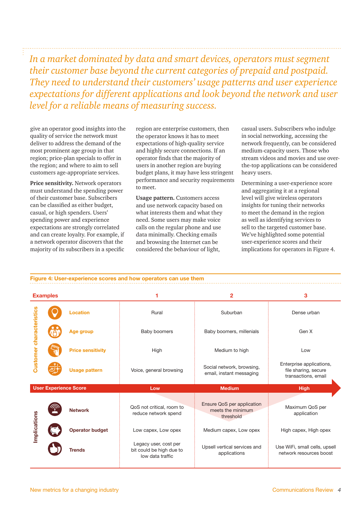*In a market dominated by data and smart devices, operators must segment their customer base beyond the current categories of prepaid and postpaid. They need to understand their customers' usage patterns and user experience expectations for different applications and look beyond the network and user level for a reliable means of measuring success.*

give an operator good insights into the quality of service the network must deliver to address the demand of the most prominent age group in that region; price-plan specials to offer in the region; and where to aim to sell customers age-appropriate services.

**Price sensitivity.** Network operators must understand the spending power of their customer base. Subscribers can be classified as either budget, casual, or high spenders. Users' spending power and experience expectations are strongly correlated and can create loyalty. For example, if a network operator discovers that the majority of its subscribers in a specific

region are enterprise customers, then the operator knows it has to meet expectations of high-quality service and highly secure connections. If an operator finds that the majority of users in another region are buying budget plans, it may have less stringent performance and security requirements to meet.

**Usage pattern.** Customers access and use network capacity based on what interests them and what they need. Some users may make voice calls on the regular phone and use data minimally. Checking emails and browsing the Internet can be considered the behaviour of light,

casual users. Subscribers who indulge in social networking, accessing the network frequently, can be considered medium-capacity users. Those who stream videos and movies and use overthe-top applications can be considered heavy users.

Determining a user-experience score and aggregating it at a regional level will give wireless operators insights for tuning their networks to meet the demand in the region as well as identifying services to sell to the targeted customer base. We've highlighted some potential user-experience scores and their implications for operators in Figure 4.

**Figure 4: User-experience scores and how operators can use them**

| <b>Examples</b>              |  |                          |                                                                       | 2                                                            | 3                                                                       |
|------------------------------|--|--------------------------|-----------------------------------------------------------------------|--------------------------------------------------------------|-------------------------------------------------------------------------|
| Customer characteristics     |  | Location                 | Rural                                                                 | Suburban                                                     | Dense urban                                                             |
|                              |  | Age group                | Baby boomers                                                          | Baby boomers, millenials                                     | Gen X                                                                   |
|                              |  | <b>Price sensitivity</b> | High                                                                  | Medium to high                                               | Low                                                                     |
|                              |  | <b>Usage pattern</b>     | Voice, general browsing                                               | Social network, browsing,<br>email, instant messaging        | Enterprise applications,<br>file sharing, secure<br>transactions, email |
| <b>User Experience Score</b> |  |                          | Low                                                                   | <b>Medium</b>                                                | <b>High</b>                                                             |
| Implications                 |  | <b>Network</b>           | QoS not critical, room to<br>reduce network spend                     | Ensure QoS per application<br>meets the minimum<br>threshold | Maximum QoS per<br>application                                          |
|                              |  | <b>Operator budget</b>   | Low capex, Low opex                                                   | Medium capex, Low opex                                       | High capex, High opex                                                   |
|                              |  | <b>Trends</b>            | Legacy user, cost per<br>bit could be high due to<br>low data traffic | Upsell vertical services and<br>applications                 | Use WiFi, small cells, upsell<br>network resources boost                |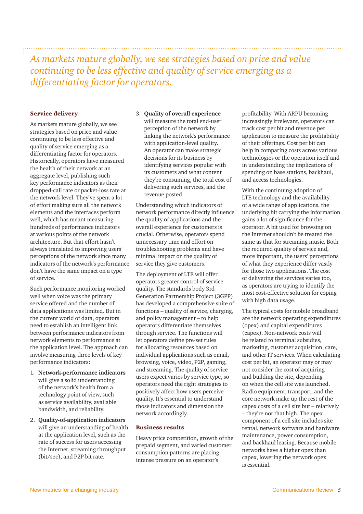# *As markets mature globally, we see strategies based on price and value continuing to be less effective and quality of service emerging as a differentiating factor for operators.*

#### Service delivery

As markets mature globally, we see strategies based on price and value continuing to be less effective and quality of service emerging as a differentiating factor for operators. Historically, operators have measured the health of their network at an aggregate level, publishing such key performance indicators as their dropped-call rate or packet-loss rate at the network level. They've spent a lot of effort making sure all the network elements and the interfaces perform well, which has meant measuring hundreds of performance indicators at various points of the network architecture. But that effort hasn't always translated to improving users' perceptions of the network since many indicators of the network's performance don't have the same impact on a type of service.

Such performance monitoring worked well when voice was the primary service offered and the number of data applications was limited. But in the current world of data, operators need to establish an intelligent link between performance indicators from network elements to performance at the application level. The approach can involve measuring three levels of key performance indicators:

- 1. **Network-performance indicators**  will give a solid understanding of the network's health from a technology point of view, such as service availability, available bandwidth, and reliability.
- 2. **Quality-of-application indicators**  will give an understanding of health at the application level, such as the rate of success for users accessing the Internet, streaming throughput (bit/sec), and P2P bit rate.

3. **Quality of overall experience**  will measure the total end-user perception of the network by linking the network's performance with application-level quality. An operator can make strategic decisions for its business by identifying services popular with its customers and what content they're consuming, the total cost of delivering such services, and the revenue posted.

Understanding which indicators of network performance directly influence the quality of applications and the overall experience for customers is crucial. Otherwise, operators spend unnecessary time and effort on troubleshooting problems and have minimal impact on the quality of service they give customers.

The deployment of LTE will offer operators greater control of service quality. The standards body 3rd Generation Partnership Project (3GPP) has developed a comprehensive suite of functions – quality of service, charging, and policy management – to help operators differentiate themselves through service. The functions will let operators define pre-set rules for allocating resources based on individual applications such as email, browsing, voice, video, P2P, gaming, and streaming. The quality of service users expect varies by service type, so operators need the right strategies to positively affect how users perceive quality. It's essential to understand those indicators and dimension the network accordingly.

#### Business results

Heavy price competition, growth of the prepaid segment, and varied customer consumption patterns are placing intense pressure on an operator's

profitability. With ARPU becoming increasingly irrelevant, operators can track cost per bit and revenue per application to measure the profitability of their offerings. Cost per bit can help in comparing costs across various technologies or the operation itself and in understanding the implications of spending on base stations, backhaul, and access technologies.

With the continuing adoption of LTE technology and the availability of a wide range of applications, the underlying bit carrying the information gains a lot of significance for the operator. A bit used for browsing on the Internet shouldn't be treated the same as that for streaming music. Both the required quality of service and, more important, the users' perceptions of what they experience differ vastly for those two applications. The cost of delivering the services varies too, as operators are trying to identify the most cost-effective solution for coping with high data usage.

The typical costs for mobile broadband are the network operating expenditures (opex) and capital expenditures (capex). Non-network costs will be related to terminal subsidies, marketing, customer acquisition, care, and other IT services. When calculating cost per bit, an operator may or may not consider the cost of acquiring and building the site, depending on when the cell site was launched. Radio equipment, transport, and the core network make up the rest of the capex costs of a cell site but – relatively – they're not that high. The opex component of a cell site includes site rental, network software and hardware maintenance, power consumption, and backhaul leasing. Because mobile networks have a higher opex than capex, lowering the network opex is essential.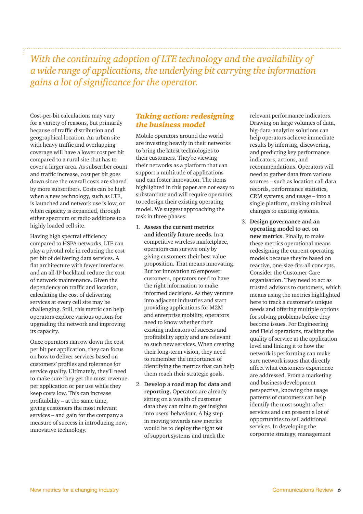*With the continuing adoption of LTE technology and the availability of a wide range of applications, the underlying bit carrying the information gains a lot of significance for the operator.* 

Cost-per-bit calculations may vary for a variety of reasons, but primarily because of traffic distribution and geographical location. An urban site with heavy traffic and overlapping coverage will have a lower cost per bit compared to a rural site that has to cover a larger area. As subscriber count and traffic increase, cost per bit goes down since the overall costs are shared by more subscribers. Costs can be high when a new technology, such as LTE, is launched and network use is low, or when capacity is expanded, through either spectrum or radio additions to a highly loaded cell site.

Having high spectral efficiency compared to HSPA networks, LTE can play a pivotal role in reducing the cost per bit of delivering data services. A flat architecture with fewer interfaces and an all-IP backhaul reduce the cost of network maintenance. Given the dependency on traffic and location, calculating the cost of delivering services at every cell site may be challenging. Still, this metric can help operators explore various options for upgrading the network and improving its capacity.

Once operators narrow down the cost per bit per application, they can focus on how to deliver services based on customers' profiles and tolerance for service quality. Ultimately, they'll need to make sure they get the most revenue per application or per use while they keep costs low. This can increase profitability – at the same time, giving customers the most relevant services – and gain for the company a measure of success in introducing new, innovative technology.

## *Taking action: redesigning the business model*

Mobile operators around the world are investing heavily in their networks to bring the latest technologies to their customers. They're viewing their networks as a platform that can support a multitude of applications and can foster innovation. The items highlighted in this paper are not easy to substantiate and will require operators to redesign their existing operating model. We suggest approaching the task in three phases:

- 1. **Assess the current metrics and identify future needs.** In a competitive wireless marketplace, operators can survive only by giving customers their best value proposition. That means innovating. But for innovation to empower customers, operators need to have the right information to make informed decisions. As they venture into adjacent industries and start providing applications for M2M and enterprise mobility, operators need to know whether their existing indicators of success and profitability apply and are relevant to such new services. When creating their long-term vision, they need to remember the importance of identifying the metrics that can help them reach their strategic goals.
- 2. **Develop a road map for data and reporting.** Operators are already sitting on a wealth of customer data they can mine to get insights into users' behaviour. A big step in moving towards new metrics would be to deploy the right set of support systems and track the

relevant performance indicators. Drawing on large volumes of data, big-data-analytics solutions can help operators achieve immediate results by inferring, discovering, and predicting key performance indicators, actions, and recommendations. Operators will need to gather data from various sources – such as location call data records, performance statistics, CRM systems, and usage – into a single platform, making minimal changes to existing systems.

3. **Design governance and an operating model to act on new metrics**. Finally, to make these metrics operational means redesigning the current operating models because they're based on reactive, one-size-fits-all concepts. Consider the Customer Care organisation. They need to act as trusted advisors to customers, which means using the metrics highlighted here to track a customer's unique needs and offering multiple options for solving problems before they become issues. For Engineering and Field operations, tracking the quality of service at the application level and linking it to how the network is performing can make sure network issues that directly affect what customers experience are addressed. From a marketing and business development perspective, knowing the usage patterns of customers can help identify the most sought-after services and can present a lot of opportunities to sell additional services. In developing the corporate strategy, management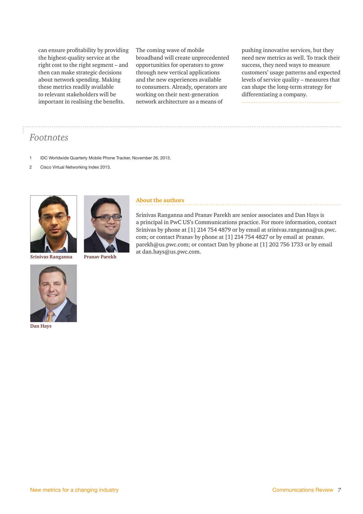can ensure profitability by providing the highest-quality service at the right cost to the right segment – and then can make strategic decisions about network spending. Making these metrics readily available to relevant stakeholders will be important in realising the benefits.

The coming wave of mobile broadband will create unprecedented opportunities for operators to grow through new vertical applications and the new experiences available to consumers. Already, operators are working on their next-generation network architecture as a means of

pushing innovative services, but they need new metrics as well. To track their success, they need ways to measure customers' usage patterns and expected levels of service quality – measures that can shape the long-term strategy for differentiating a company. 

# *Footnotes*

- 1 IDC Worldwide Quarterly Mobile Phone Tracker, November 26, 2013.
- 2 Cisco Virtual Networking Index 2013.



**Srinivas Ranganna**





## **About the authors**

Srinivas Ranganna and Pranav Parekh are senior associates and Dan Hays is a principal in PwC US's Communications practice. For more information, contact Srinivas by phone at [1] 214 754 4879 or by email at srinivas.ranganna@us.pwc. com; or contact Pranav by phone at [1] 214 754 4827 or by email at pranav. parekh@us.pwc.com; or contact Dan by phone at [1] 202 756 1733 or by email at dan.hays@us.pwc.com.



**Dan Hays**